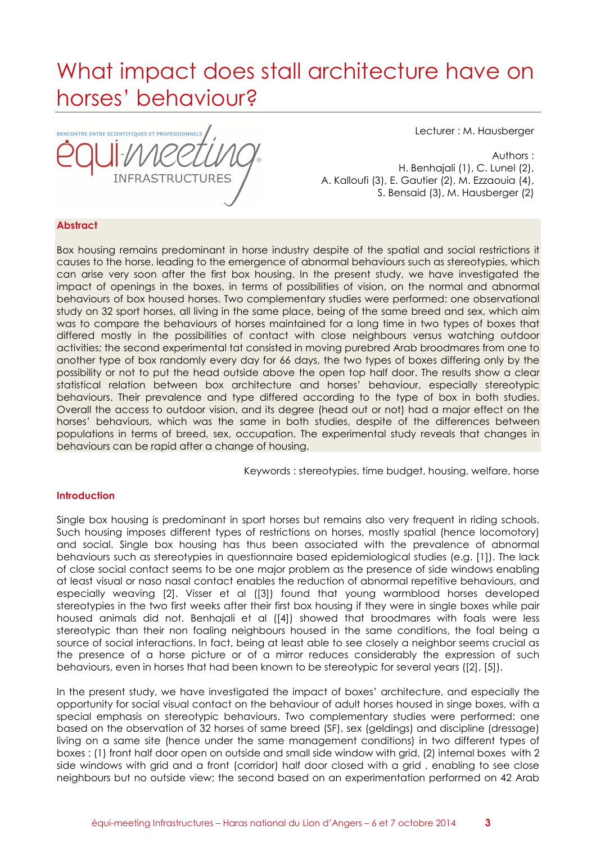# What impact does stall architecture have on horses' behaviour?

RENCONTRE ENTRE SCIENTIFIQUES ET PROFESSIONNELS **INFRASTRUCTURES** 

Lecturer : M. Hausberger

Authors :

H. Benhajali (1), C. Lunel (2), A. Kalloufi (3), E. Gautier (2), M. Ezzaouia (4), S. Bensaid (3), M. Hausberger (2)

# **Abstract**

Box housing remains predominant in horse industry despite of the spatial and social restrictions it causes to the horse, leading to the emergence of abnormal behaviours such as stereotypies, which can arise very soon after the first box housing. In the present study, we have investigated the impact of openings in the boxes, in terms of possibilities of vision, on the normal and abnormal behaviours of box housed horses. Two complementary studies were performed: one observational study on 32 sport horses, all living in the same place, being of the same breed and sex, which aim was to compare the behaviours of horses maintained for a long time in two types of boxes that differed mostly in the possibilities of contact with close neighbours versus watching outdoor activities; the second experimental tat consisted in moving purebred Arab broodmares from one to another type of box randomly every day for 66 days, the two types of boxes differing only by the possibility or not to put the head outside above the open top half door. The results show a clear statistical relation between box architecture and horses' behaviour, especially stereotypic behaviours. Their prevalence and type differed according to the type of box in both studies. Overall the access to outdoor vision, and its degree (head out or not) had a major effect on the horses' behaviours, which was the same in both studies, despite of the differences between populations in terms of breed, sex, occupation. The experimental study reveals that changes in behaviours can be rapid after a change of housing.

Keywords : stereotypies, time budget, housing, welfare, horse

#### **Introduction**

Single box housing is predominant in sport horses but remains also very frequent in riding schools. Such housing imposes different types of restrictions on horses, mostly spatial (hence locomotory) and social. Single box housing has thus been associated with the prevalence of abnormal behaviours such as stereotypies in questionnaire based epidemiological studies (e.g. [1]). The lack of close social contact seems to be one major problem as the presence of side windows enabling at least visual or naso nasal contact enables the reduction of abnormal repetitive behaviours, and especially weaving [2]. Visser et al ([3]) found that young warmblood horses developed stereotypies in the two first weeks after their first box housing if they were in single boxes while pair housed animals did not. Benhajali et al ([4]) showed that broodmares with foals were less stereotypic than their non foaling neighbours housed in the same conditions, the foal being a source of social interactions. In fact, being at least able to see closely a neighbor seems crucial as the presence of a horse picture or of a mirror reduces considerably the expression of such behaviours, even in horses that had been known to be stereotypic for several years ([2], [5]).

In the present study, we have investigated the impact of boxes' architecture, and especially the opportunity for social visual contact on the behaviour of adult horses housed in singe boxes, with a special emphasis on stereotypic behaviours. Two complementary studies were performed: one based on the observation of 32 horses of same breed (SF), sex (geldings) and discipline (dressage) living on a same site (hence under the same management conditions) in two different types of boxes : (1) front half door open on outside and small side window with grid, (2) internal boxes with 2 side windows with grid and a front (corridor) half door closed with a grid , enabling to see close neighbours but no outside view; the second based on an experimentation performed on 42 Arab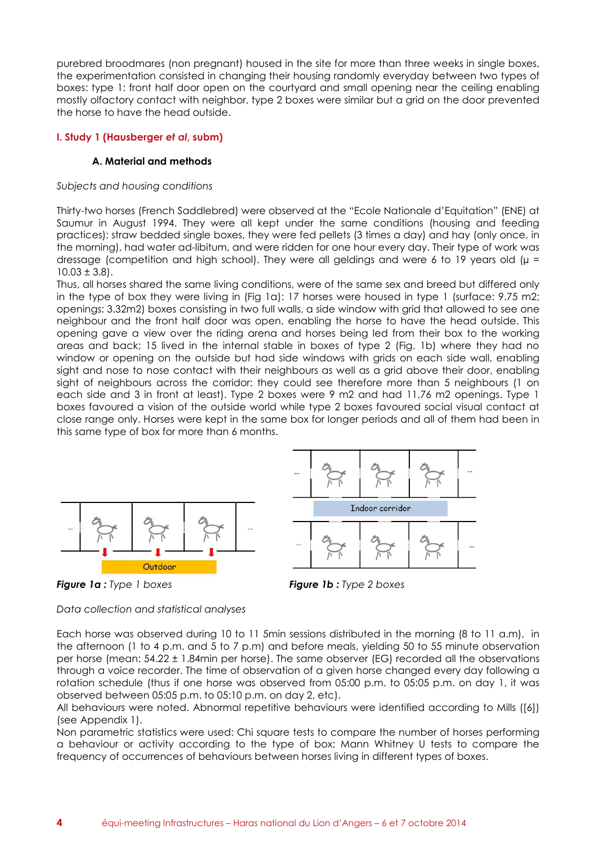purebred broodmares (non pregnant) housed in the site for more than three weeks in single boxes, the experimentation consisted in changing their housing randomly everyday between two types of boxes: type 1: front half door open on the courtyard and small opening near the ceiling enabling mostly olfactory contact with neighbor, type 2 boxes were similar but a grid on the door prevented the horse to have the head outside.

# **I. Study 1 (Hausberger** *et al***, subm)**

# **A. Material and methods**

#### *Subjects and housing conditions*

Thirty-two horses (French Saddlebred) were observed at the "Ecole Nationale d'Equitation" (ENE) at Saumur in August 1994. They were all kept under the same conditions (housing and feeding practices): straw bedded single boxes, they were fed pellets (3 times a day) and hay (only once, in the morning), had water ad-libitum, and were ridden for one hour every day. Their type of work was dressage (competition and high school). They were all geldings and were 6 to 19 years old ( $\mu$  =  $10.03 \pm 3.8$ .

Thus, all horses shared the same living conditions, were of the same sex and breed but differed only in the type of box they were living in (Fig 1a): 17 horses were housed in type 1 (surface: 9.75 m2; openings: 3.32m2) boxes consisting in two full walls, a side window with grid that allowed to see one neighbour and the front half door was open, enabling the horse to have the head outside. This opening gave a view over the riding arena and horses being led from their box to the working areas and back; 15 lived in the internal stable in boxes of type 2 (Fig. 1b) where they had no window or opening on the outside but had side windows with grids on each side wall, enabling sight and nose to nose contact with their neighbours as well as a grid above their door, enabling sight of neighbours across the corridor: they could see therefore more than 5 neighbours (1 on each side and 3 in front at least). Type 2 boxes were 9 m2 and had 11.76 m2 openings. Type 1 boxes favoured a vision of the outside world while type 2 boxes favoured social visual contact at close range only. Horses were kept in the same box for longer periods and all of them had been in this same type of box for more than 6 months.







*Data collection and statistical analyses* 

Each horse was observed during 10 to 11 5min sessions distributed in the morning (8 to 11 a.m), in the afternoon (1 to 4 p.m. and 5 to 7 p.m) and before meals, yielding 50 to 55 minute observation per horse (mean: 54.22 ± 1.84min per horse). The same observer (EG) recorded all the observations through a voice recorder. The time of observation of a given horse changed every day following a rotation schedule (thus if one horse was observed from 05:00 p.m. to 05:05 p.m. on day 1, it was observed between 05:05 p.m. to 05:10 p.m. on day 2, etc).

All behaviours were noted. Abnormal repetitive behaviours were identified according to Mills ([6]) (see Appendix 1).

Non parametric statistics were used: Chi square tests to compare the number of horses performing a behaviour or activity according to the type of box; Mann Whitney U tests to compare the frequency of occurrences of behaviours between horses living in different types of boxes.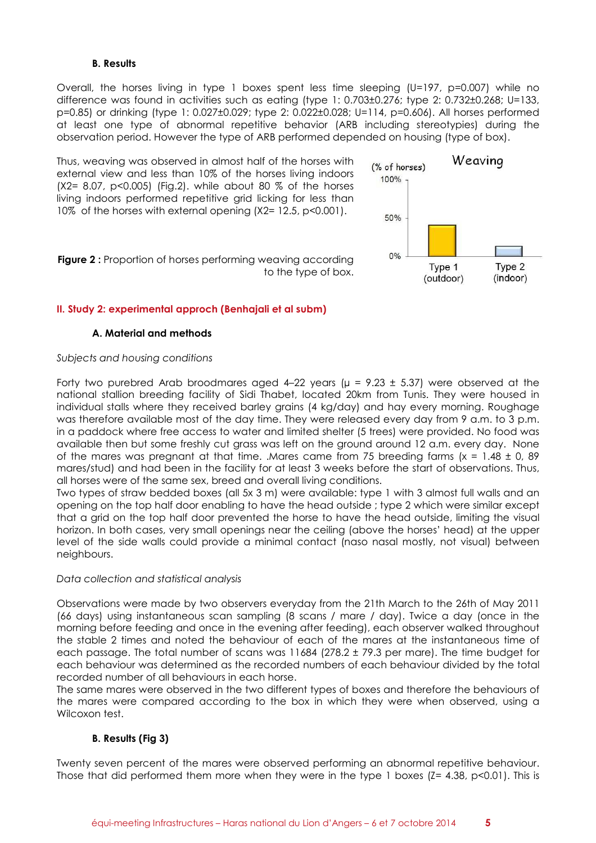### **B. Results**

Overall, the horses living in type 1 boxes spent less time sleeping (U=197, p=0.007) while no difference was found in activities such as eating (type 1: 0.703±0.276; type 2: 0.732±0.268; U=133, p=0.85) or drinking (type 1: 0.027±0.029; type 2: 0.022±0.028; U=114, p=0.606). All horses performed at least one type of abnormal repetitive behavior (ARB including stereotypies) during the observation period. However the type of ARB performed depended on housing (type of box).

Thus, weaving was observed in almost half of the horses with external view and less than 10% of the horses living indoors (X2= 8.07, p<0.005) (Fig.2). while about 80 % of the horses living indoors performed repetitive grid licking for less than 10% of the horses with external opening (X2= 12.5, p<0.001).



**Figure 2:** Proportion of horses performing weaving according to the type of box.

# **II. Study 2: experimental approch (Benhajali et al subm)**

# **A. Material and methods**

#### *Subjects and housing conditions*

Forty two purebred Arab broodmares aged 4–22 years ( $\mu$  = 9.23  $\pm$  5.37) were observed at the national stallion breeding facility of Sidi Thabet, located 20km from Tunis. They were housed in individual stalls where they received barley grains (4 kg/day) and hay every morning. Roughage was therefore available most of the day time. They were released every day from 9 a.m. to 3 p.m. in a paddock where free access to water and limited shelter (5 trees) were provided. No food was available then but some freshly cut grass was left on the ground around 12 a.m. every day. None of the mares was pregnant at that time. .Mares came from 75 breeding farms  $(x = 1.48 \pm 0.89)$ mares/stud) and had been in the facility for at least 3 weeks before the start of observations. Thus, all horses were of the same sex, breed and overall living conditions.

Two types of straw bedded boxes (all 5x 3 m) were available: type 1 with 3 almost full walls and an opening on the top half door enabling to have the head outside ; type 2 which were similar except that a grid on the top half door prevented the horse to have the head outside, limiting the visual horizon. In both cases, very small openings near the ceiling (above the horses' head) at the upper level of the side walls could provide a minimal contact (naso nasal mostly, not visual) between neighbours.

#### *Data collection and statistical analysis*

Observations were made by two observers everyday from the 21th March to the 26th of May 2011 (66 days) using instantaneous scan sampling (8 scans / mare / day). Twice a day (once in the morning before feeding and once in the evening after feeding), each observer walked throughout the stable 2 times and noted the behaviour of each of the mares at the instantaneous time of each passage. The total number of scans was 11684 (278.2 ± 79.3 per mare). The time budget for each behaviour was determined as the recorded numbers of each behaviour divided by the total recorded number of all behaviours in each horse.

The same mares were observed in the two different types of boxes and therefore the behaviours of the mares were compared according to the box in which they were when observed, using a Wilcoxon test.

# **B. Results (Fig 3)**

Twenty seven percent of the mares were observed performing an abnormal repetitive behaviour. Those that did performed them more when they were in the type 1 boxes ( $Z = 4.38$ , p<0.01). This is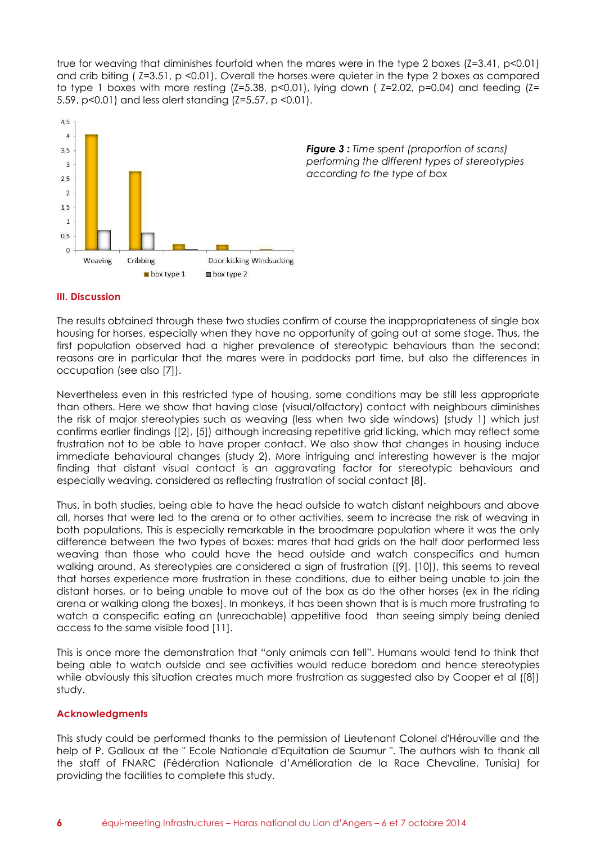true for weaving that diminishes fourfold when the mares were in the type 2 boxes (Z=3.41, p<0.01) and crib biting ( Z=3.51, p <0.01). Overall the horses were quieter in the type 2 boxes as compared to type 1 boxes with more resting  $(Z=5.38, p<0.01)$ , lying down ( $Z=2.02, p=0.04$ ) and feeding  $(Z=5.38, p<0.01)$ 5.59, p<0.01) and less alert standing (Z=5.57, p <0.01).



*Figure 3 : Time spent (proportion of scans) performing the different types of stereotypies according to the type of box* 

# **III. Discussion**

The results obtained through these two studies confirm of course the inappropriateness of single box housing for horses, especially when they have no opportunity of going out at some stage. Thus, the first population observed had a higher prevalence of stereotypic behaviours than the second: reasons are in particular that the mares were in paddocks part time, but also the differences in occupation (see also [7]).

Nevertheless even in this restricted type of housing, some conditions may be still less appropriate than others. Here we show that having close (visual/olfactory) contact with neighbours diminishes the risk of major stereotypies such as weaving (less when two side windows) (study 1) which just confirms earlier findings ([2], [5]) although increasing repetitive grid licking, which may reflect some frustration not to be able to have proper contact. We also show that changes in housing induce immediate behavioural changes (study 2). More intriguing and interesting however is the major finding that distant visual contact is an aggravating factor for stereotypic behaviours and especially weaving, considered as reflecting frustration of social contact [8].

Thus, in both studies, being able to have the head outside to watch distant neighbours and above all, horses that were led to the arena or to other activities, seem to increase the risk of weaving in both populations. This is especially remarkable in the broodmare population where it was the only difference between the two types of boxes: mares that had grids on the half door performed less weaving than those who could have the head outside and watch conspecifics and human walking around. As stereotypies are considered a sign of frustration ([9], [10]), this seems to reveal that horses experience more frustration in these conditions, due to either being unable to join the distant horses, or to being unable to move out of the box as do the other horses (ex in the riding arena or walking along the boxes). In monkeys, it has been shown that is is much more frustrating to watch a conspecific eating an (unreachable) appetitive food than seeing simply being denied access to the same visible food [11].

This is once more the demonstration that "only animals can tell". Humans would tend to think that being able to watch outside and see activities would reduce boredom and hence stereotypies while obviously this situation creates much more frustration as suggested also by Cooper et al ([8]) study.

#### **Acknowledgments**

This study could be performed thanks to the permission of Lieutenant Colonel d'Hérouville and the help of P. Galloux at the " Ecole Nationale d'Equitation de Saumur ". The authors wish to thank all the staff of FNARC (Fédération Nationale d'Amélioration de la Race Chevaline, Tunisia) for providing the facilities to complete this study.